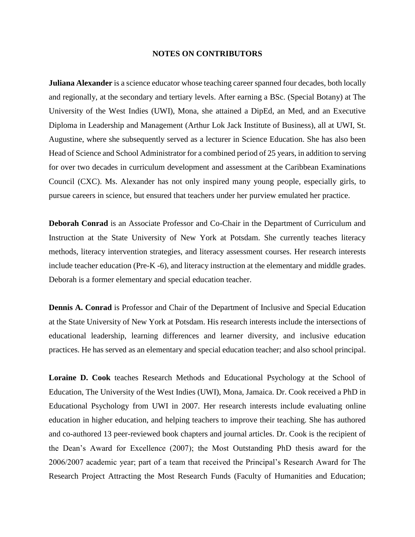## **NOTES ON CONTRIBUTORS**

**Juliana Alexander** is a science educator whose teaching career spanned four decades, both locally and regionally, at the secondary and tertiary levels. After earning a BSc. (Special Botany) at The University of the West Indies (UWI), Mona, she attained a DipEd, an Med, and an Executive Diploma in Leadership and Management (Arthur Lok Jack Institute of Business), all at UWI, St. Augustine, where she subsequently served as a lecturer in Science Education. She has also been Head of Science and School Administrator for a combined period of 25 years, in addition to serving for over two decades in curriculum development and assessment at the Caribbean Examinations Council (CXC). Ms. Alexander has not only inspired many young people, especially girls, to pursue careers in science, but ensured that teachers under her purview emulated her practice.

**Deborah Conrad** is an Associate Professor and Co-Chair in the Department of Curriculum and Instruction at the State University of New York at Potsdam. She currently teaches literacy methods, literacy intervention strategies, and literacy assessment courses. Her research interests include teacher education (Pre-K -6), and literacy instruction at the elementary and middle grades. Deborah is a former elementary and special education teacher.

**Dennis A. Conrad** is Professor and Chair of the Department of Inclusive and Special Education at the State University of New York at Potsdam. His research interests include the intersections of educational leadership, learning differences and learner diversity, and inclusive education practices. He has served as an elementary and special education teacher; and also school principal.

**Loraine D. Cook** teaches Research Methods and Educational Psychology at the School of Education, The University of the West Indies (UWI), Mona, Jamaica. Dr. Cook received a PhD in Educational Psychology from UWI in 2007. Her research interests include evaluating online education in higher education, and helping teachers to improve their teaching. She has authored and co-authored 13 peer-reviewed book chapters and journal articles. Dr. Cook is the recipient of the Dean's Award for Excellence (2007); the Most Outstanding PhD thesis award for the 2006/2007 academic year; part of a team that received the Principal's Research Award for The Research Project Attracting the Most Research Funds (Faculty of Humanities and Education;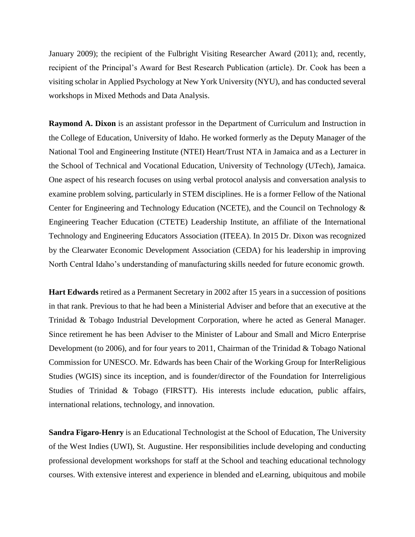January 2009); the recipient of the Fulbright Visiting Researcher Award (2011); and, recently, recipient of the Principal's Award for Best Research Publication (article). Dr. Cook has been a visiting scholar in Applied Psychology at New York University (NYU), and has conducted several workshops in Mixed Methods and Data Analysis.

**Raymond A. Dixon** is an assistant professor in the Department of Curriculum and Instruction in the College of Education, University of Idaho. He worked formerly as the Deputy Manager of the National Tool and Engineering Institute (NTEI) Heart/Trust NTA in Jamaica and as a Lecturer in the School of Technical and Vocational Education, University of Technology (UTech), Jamaica. One aspect of his research focuses on using verbal protocol analysis and conversation analysis to examine problem solving, particularly in STEM disciplines. He is a former Fellow of the National Center for Engineering and Technology Education (NCETE), and the Council on Technology & Engineering Teacher Education (CTETE) Leadership Institute, an affiliate of the International Technology and Engineering Educators Association (ITEEA). In 2015 Dr. Dixon was recognized by the Clearwater Economic Development Association (CEDA) for his leadership in improving North Central Idaho's understanding of manufacturing skills needed for future economic growth.

**Hart Edwards** retired as a Permanent Secretary in 2002 after 15 years in a succession of positions in that rank. Previous to that he had been a Ministerial Adviser and before that an executive at the Trinidad & Tobago Industrial Development Corporation, where he acted as General Manager. Since retirement he has been Adviser to the Minister of Labour and Small and Micro Enterprise Development (to 2006), and for four years to 2011, Chairman of the Trinidad & Tobago National Commission for UNESCO. Mr. Edwards has been Chair of the Working Group for InterReligious Studies (WGIS) since its inception, and is founder/director of the Foundation for Interreligious Studies of Trinidad & Tobago (FIRSTT). His interests include education, public affairs, international relations, technology, and innovation.

**Sandra Figaro-Henry** is an Educational Technologist at the School of Education, The University of the West Indies (UWI), St. Augustine. Her responsibilities include developing and conducting professional development workshops for staff at the School and teaching educational technology courses. With extensive interest and experience in blended and eLearning, ubiquitous and mobile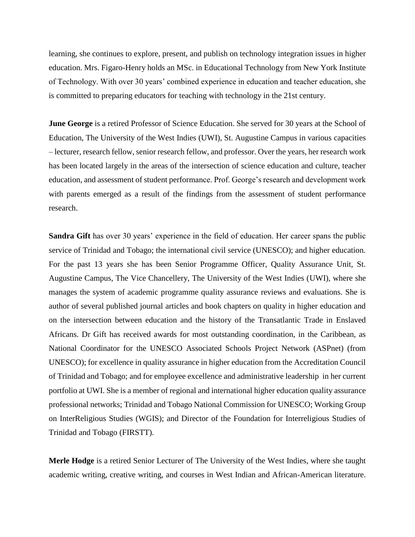learning, she continues to explore, present, and publish on technology integration issues in higher education. Mrs. Figaro-Henry holds an MSc. in Educational Technology from New York Institute of Technology. With over 30 years' combined experience in education and teacher education, she is committed to preparing educators for teaching with technology in the 21st century.

**June George** is a retired Professor of Science Education. She served for 30 years at the School of Education, The University of the West Indies (UWI), St. Augustine Campus in various capacities – lecturer, research fellow, senior research fellow, and professor. Over the years, her research work has been located largely in the areas of the intersection of science education and culture, teacher education, and assessment of student performance. Prof. George's research and development work with parents emerged as a result of the findings from the assessment of student performance research.

**Sandra Gift** has over 30 years' experience in the field of education. Her career spans the public service of Trinidad and Tobago; the international civil service (UNESCO); and higher education. For the past 13 years she has been Senior Programme Officer, Quality Assurance Unit, St. Augustine Campus, The Vice Chancellery, The University of the West Indies (UWI), where she manages the system of academic programme quality assurance reviews and evaluations. She is author of several published journal articles and book chapters on quality in higher education and on the intersection between education and the history of the Transatlantic Trade in Enslaved Africans. Dr Gift has received awards for most outstanding coordination, in the Caribbean, as National Coordinator for the UNESCO Associated Schools Project Network (ASPnet) (from UNESCO); for excellence in quality assurance in higher education from the Accreditation Council of Trinidad and Tobago; and for employee excellence and administrative leadership in her current portfolio at UWI. She is a member of regional and international higher education quality assurance professional networks; Trinidad and Tobago National Commission for UNESCO; Working Group on InterReligious Studies (WGIS); and Director of the Foundation for Interreligious Studies of Trinidad and Tobago (FIRSTT).

**Merle Hodge** is a retired Senior Lecturer of The University of the West Indies, where she taught academic writing, creative writing, and courses in West Indian and African-American literature.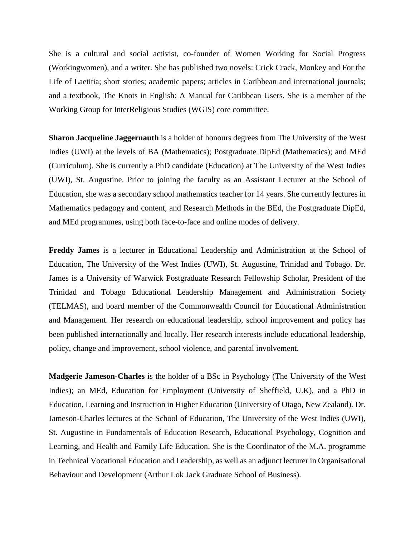She is a cultural and social activist, co-founder of Women Working for Social Progress (Workingwomen), and a writer. She has published two novels: Crick Crack, Monkey and For the Life of Laetitia; short stories; academic papers; articles in Caribbean and international journals; and a textbook, The Knots in English: A Manual for Caribbean Users. She is a member of the Working Group for InterReligious Studies (WGIS) core committee.

**Sharon Jacqueline Jaggernauth** is a holder of honours degrees from The University of the West Indies (UWI) at the levels of BA (Mathematics); Postgraduate DipEd (Mathematics); and MEd (Curriculum). She is currently a PhD candidate (Education) at The University of the West Indies (UWI), St. Augustine. Prior to joining the faculty as an Assistant Lecturer at the School of Education, she was a secondary school mathematics teacher for 14 years. She currently lectures in Mathematics pedagogy and content, and Research Methods in the BEd, the Postgraduate DipEd, and MEd programmes, using both face-to-face and online modes of delivery.

**Freddy James** is a lecturer in Educational Leadership and Administration at the School of Education, The University of the West Indies (UWI), St. Augustine, Trinidad and Tobago. Dr. James is a University of Warwick Postgraduate Research Fellowship Scholar, President of the Trinidad and Tobago Educational Leadership Management and Administration Society (TELMAS), and board member of the Commonwealth Council for Educational Administration and Management. Her research on educational leadership, school improvement and policy has been published internationally and locally. Her research interests include educational leadership, policy, change and improvement, school violence, and parental involvement.

**Madgerie Jameson-Charles** is the holder of a BSc in Psychology (The University of the West Indies); an MEd, Education for Employment (University of Sheffield, U.K), and a PhD in Education, Learning and Instruction in Higher Education (University of Otago, New Zealand). Dr. Jameson-Charles lectures at the School of Education, The University of the West Indies (UWI), St. Augustine in Fundamentals of Education Research, Educational Psychology, Cognition and Learning, and Health and Family Life Education. She is the Coordinator of the M.A. programme in Technical Vocational Education and Leadership, as well as an adjunct lecturer in Organisational Behaviour and Development (Arthur Lok Jack Graduate School of Business).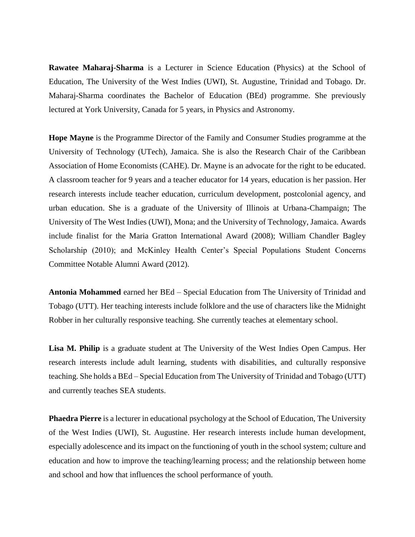**Rawatee Maharaj-Sharma** is a Lecturer in Science Education (Physics) at the School of Education, The University of the West Indies (UWI), St. Augustine, Trinidad and Tobago. Dr. Maharaj-Sharma coordinates the Bachelor of Education (BEd) programme. She previously lectured at York University, Canada for 5 years, in Physics and Astronomy.

**Hope Mayne** is the Programme Director of the Family and Consumer Studies programme at the University of Technology (UTech), Jamaica. She is also the Research Chair of the Caribbean Association of Home Economists (CAHE). Dr. Mayne is an advocate for the right to be educated. A classroom teacher for 9 years and a teacher educator for 14 years, education is her passion. Her research interests include teacher education, curriculum development, postcolonial agency, and urban education. She is a graduate of the University of Illinois at Urbana-Champaign; The University of The West Indies (UWI), Mona; and the University of Technology, Jamaica. Awards include finalist for the Maria Gratton International Award (2008); William Chandler Bagley Scholarship (2010); and McKinley Health Center's Special Populations Student Concerns Committee Notable Alumni Award (2012).

**Antonia Mohammed** earned her BEd – Special Education from The University of Trinidad and Tobago (UTT). Her teaching interests include folklore and the use of characters like the Midnight Robber in her culturally responsive teaching. She currently teaches at elementary school.

**Lisa M. Philip** is a graduate student at The University of the West Indies Open Campus. Her research interests include adult learning, students with disabilities, and culturally responsive teaching. She holds a BEd – Special Education from The University of Trinidad and Tobago (UTT) and currently teaches SEA students.

**Phaedra Pierre** is a lecturer in educational psychology at the School of Education, The University of the West Indies (UWI), St. Augustine. Her research interests include human development, especially adolescence and its impact on the functioning of youth in the school system; culture and education and how to improve the teaching/learning process; and the relationship between home and school and how that influences the school performance of youth.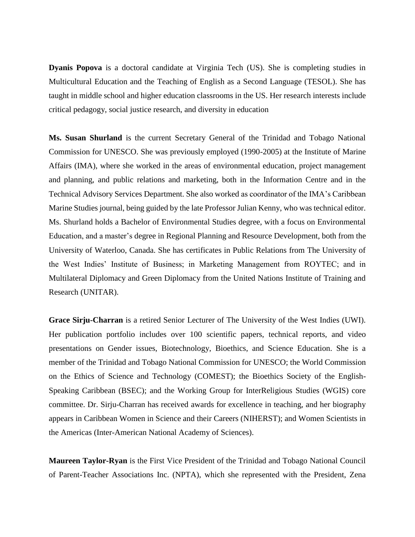**Dyanis Popova** is a doctoral candidate at Virginia Tech (US). She is completing studies in Multicultural Education and the Teaching of English as a Second Language (TESOL). She has taught in middle school and higher education classrooms in the US. Her research interests include critical pedagogy, social justice research, and diversity in education

**Ms. Susan Shurland** is the current Secretary General of the Trinidad and Tobago National Commission for UNESCO. She was previously employed (1990-2005) at the Institute of Marine Affairs (IMA), where she worked in the areas of environmental education, project management and planning, and public relations and marketing, both in the Information Centre and in the Technical Advisory Services Department. She also worked as coordinator of the IMA's Caribbean Marine Studies journal, being guided by the late Professor Julian Kenny, who was technical editor. Ms. Shurland holds a Bachelor of Environmental Studies degree, with a focus on Environmental Education, and a master's degree in Regional Planning and Resource Development, both from the University of Waterloo, Canada. She has certificates in Public Relations from The University of the West Indies' Institute of Business; in Marketing Management from ROYTEC; and in Multilateral Diplomacy and Green Diplomacy from the United Nations Institute of Training and Research (UNITAR).

**Grace Sirju-Charran** is a retired Senior Lecturer of The University of the West Indies (UWI). Her publication portfolio includes over 100 scientific papers, technical reports, and video presentations on Gender issues, Biotechnology, Bioethics, and Science Education. She is a member of the Trinidad and Tobago National Commission for UNESCO; the World Commission on the Ethics of Science and Technology (COMEST); the Bioethics Society of the English-Speaking Caribbean (BSEC); and the Working Group for InterReligious Studies (WGIS) core committee. Dr. Sirju-Charran has received awards for excellence in teaching, and her biography appears in Caribbean Women in Science and their Careers (NIHERST); and Women Scientists in the Americas (Inter-American National Academy of Sciences).

**Maureen Taylor-Ryan** is the First Vice President of the Trinidad and Tobago National Council of Parent-Teacher Associations Inc. (NPTA), which she represented with the President, Zena